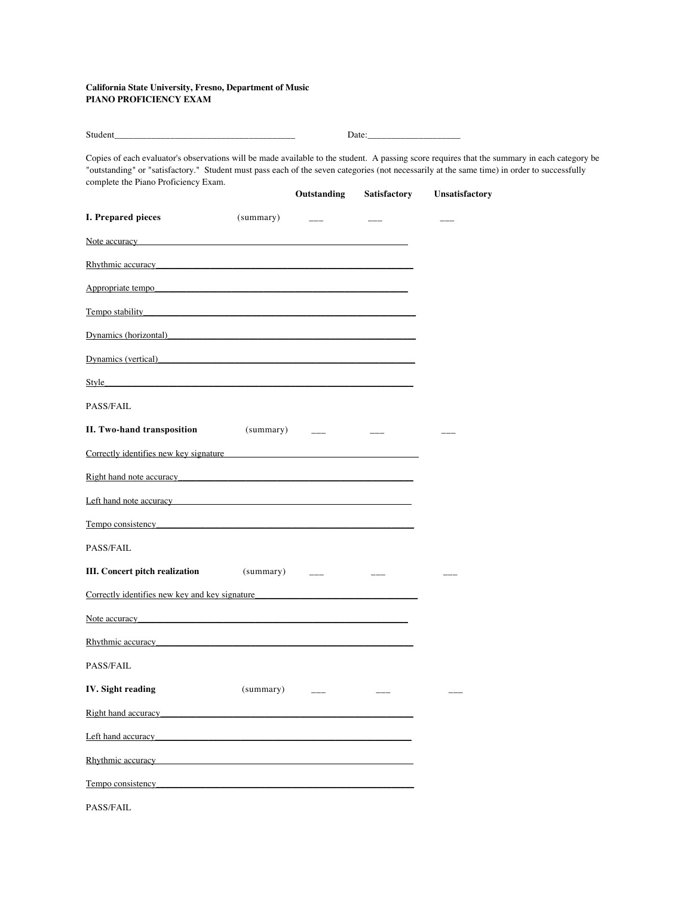## **California State University, Fresno, Department of Music PIANO PROFICIENCY EXAM**

| Student<br><b>Contract Contract Contract Contract Contract</b><br>______ | Jate |
|--------------------------------------------------------------------------|------|
|--------------------------------------------------------------------------|------|

Copies of each evaluator's observations will be made available to the student. A passing score requires that the summary in each category be "outstanding" or "satisfactory." Student must pass each of the seven categories (not necessarily at the same time) in order to successfully complete the Piano Proficiency Exam.

|                                                                                                                                                                                                                                |           |                                                                                                                                                                                                                               | <b>Outstanding Satisfactory</b> | Unsatisfactory |
|--------------------------------------------------------------------------------------------------------------------------------------------------------------------------------------------------------------------------------|-----------|-------------------------------------------------------------------------------------------------------------------------------------------------------------------------------------------------------------------------------|---------------------------------|----------------|
| I. Prepared pieces                                                                                                                                                                                                             |           |                                                                                                                                                                                                                               |                                 |                |
| Note accuracy and the second contract of the second contract of the second contract of the second contract of the second contract of the second contract of the second contract of the second contract of the second contract  |           |                                                                                                                                                                                                                               |                                 |                |
| Rhythmic accuracy entrancement and the contract of the contract of the contract of the contract of the contract of the contract of the contract of the contract of the contract of the contract of the contract of the contrac |           |                                                                                                                                                                                                                               |                                 |                |
| Appropriate tempo                                                                                                                                                                                                              |           |                                                                                                                                                                                                                               |                                 |                |
| <b>Tempo stability</b>                                                                                                                                                                                                         |           |                                                                                                                                                                                                                               |                                 |                |
| Dynamics (horizontal)                                                                                                                                                                                                          |           |                                                                                                                                                                                                                               |                                 |                |
| Dynamics (vertical)                                                                                                                                                                                                            |           |                                                                                                                                                                                                                               |                                 |                |
| Style Style Style Style Style Style Style Style Style Style Style Style Style Style Style Style Style Style Style Style Style Style Style Style Style Style Style Style Style Style Style Style Style Style Style Style Style  |           |                                                                                                                                                                                                                               |                                 |                |
| PASS/FAIL                                                                                                                                                                                                                      |           |                                                                                                                                                                                                                               |                                 |                |
| <b>II. Two-hand transposition</b> $(summary)$ ___ ___                                                                                                                                                                          |           |                                                                                                                                                                                                                               |                                 |                |
| Correctly identifies new key signature                                                                                                                                                                                         |           |                                                                                                                                                                                                                               |                                 |                |
| Right hand note accuracy experience and the state of the state of the state of the state of the state of the state of the state of the state of the state of the state of the state of the state of the state of the state of  |           |                                                                                                                                                                                                                               |                                 |                |
| Left hand note accuracy experience and the set of the set of the set of the set of the set of the set of the set of the set of the set of the set of the set of the set of the set of the set of the set of the set of the set |           |                                                                                                                                                                                                                               |                                 |                |
| Tempo consistency.                                                                                                                                                                                                             |           |                                                                                                                                                                                                                               |                                 |                |
| <b>PASS/FAIL</b>                                                                                                                                                                                                               |           |                                                                                                                                                                                                                               |                                 |                |
|                                                                                                                                                                                                                                |           |                                                                                                                                                                                                                               |                                 |                |
| Correctly identifies new key and key signature                                                                                                                                                                                 |           |                                                                                                                                                                                                                               |                                 |                |
| Note accuracy <b>Note</b> accuracy                                                                                                                                                                                             |           |                                                                                                                                                                                                                               |                                 |                |
| Rhythmic accuracy has a control of the state of the state of the state of the state of the state of the state of the state of the state of the state of the state of the state of the state of the state of the state of the s |           |                                                                                                                                                                                                                               |                                 |                |
| PASS/FAIL                                                                                                                                                                                                                      |           |                                                                                                                                                                                                                               |                                 |                |
| <b>IV.</b> Sight reading                                                                                                                                                                                                       | (summary) | the company of the company of the company of the company of the company of the company of the company of the company of the company of the company of the company of the company of the company of the company of the company | $---$                           |                |
| Right hand accuracy entertainment and the state of the state of the state of the state of the state of the state of the state of the state of the state of the state of the state of the state of the state of the state of th |           |                                                                                                                                                                                                                               |                                 |                |
| Left hand accuracy has been also been also been also been also been also been also been also been also been also been also been also been also been also been also been also been also been also been also been also been also |           |                                                                                                                                                                                                                               |                                 |                |
| Rhythmic accuracy and the state of the state of the state of the state of the state of the state of the state of the state of the state of the state of the state of the state of the state of the state of the state of the s |           |                                                                                                                                                                                                                               |                                 |                |
| Tempo consistency                                                                                                                                                                                                              |           |                                                                                                                                                                                                                               |                                 |                |
| PASS/FAIL                                                                                                                                                                                                                      |           |                                                                                                                                                                                                                               |                                 |                |